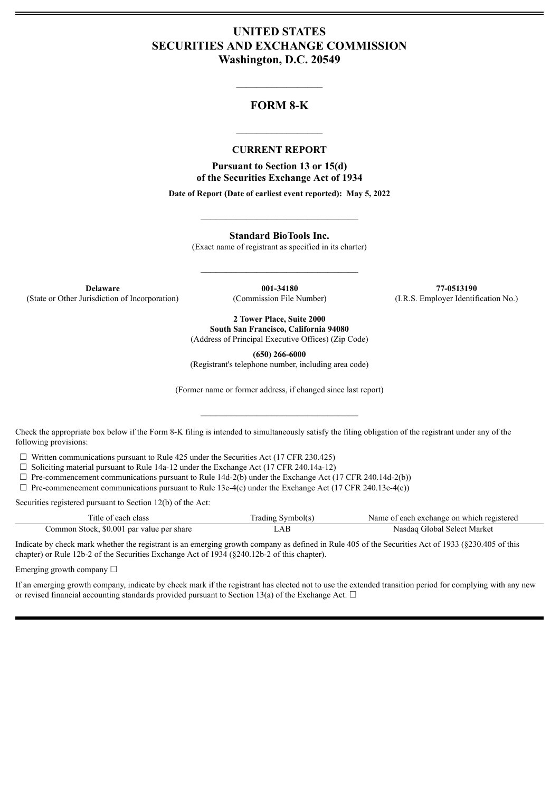## **UNITED STATES SECURITIES AND EXCHANGE COMMISSION Washington, D.C. 20549**

## **FORM 8-K**

 $\mathcal{L}=\mathcal{L}^{\mathcal{L}}$  , we have the set of the set of the set of the set of the set of the set of the set of the set of the set of the set of the set of the set of the set of the set of the set of the set of the set of th

#### **CURRENT REPORT**

 $\frac{1}{2}$  ,  $\frac{1}{2}$  ,  $\frac{1}{2}$  ,  $\frac{1}{2}$  ,  $\frac{1}{2}$  ,  $\frac{1}{2}$  ,  $\frac{1}{2}$ 

**Pursuant to Section 13 or 15(d) of the Securities Exchange Act of 1934**

**Date of Report (Date of earliest event reported): May 5, 2022**

 $\_$ 

**Standard BioTools Inc.**

(Exact name of registrant as specified in its charter)

 $\mathcal{L}_\text{max}$  and  $\mathcal{L}_\text{max}$  and  $\mathcal{L}_\text{max}$ 

**Delaware 001-34180 77-0513190** (State or Other Jurisdiction of Incorporation) (Commission File Number) (I.R.S. Employer Identification No.)

**2 Tower Place, Suite 2000 South San Francisco, California 94080**

(Address of Principal Executive Offices) (Zip Code)

**(650) 266-6000**

(Registrant's telephone number, including area code)

(Former name or former address, if changed since last report)

 $\mathcal{L}_\text{max}$  and  $\mathcal{L}_\text{max}$  and  $\mathcal{L}_\text{max}$ 

Check the appropriate box below if the Form 8-K filing is intended to simultaneously satisfy the filing obligation of the registrant under any of the following provisions:

 $\Box$  Written communications pursuant to Rule 425 under the Securities Act (17 CFR 230.425)

 $\Box$  Soliciting material pursuant to Rule 14a-12 under the Exchange Act (17 CFR 240.14a-12)

 $\Box$  Pre-commencement communications pursuant to Rule 14d-2(b) under the Exchange Act (17 CFR 240.14d-2(b))

 $\Box$  Pre-commencement communications pursuant to Rule 13e-4(c) under the Exchange Act (17 CFR 240.13e-4(c))

Securities registered pursuant to Section 12(b) of the Act:

| Title of each class                       | Trading Symbol(s) | Name of each exchange on which registered |
|-------------------------------------------|-------------------|-------------------------------------------|
| Common Stock, \$0.001 par value per share | .AB               | Nasdaq Global Select Market               |

Indicate by check mark whether the registrant is an emerging growth company as defined in Rule 405 of the Securities Act of 1933 (§230.405 of this chapter) or Rule 12b-2 of the Securities Exchange Act of 1934 (§240.12b-2 of this chapter).

Emerging growth company  $\Box$ 

If an emerging growth company, indicate by check mark if the registrant has elected not to use the extended transition period for complying with any new or revised financial accounting standards provided pursuant to Section 13(a) of the Exchange Act.  $\Box$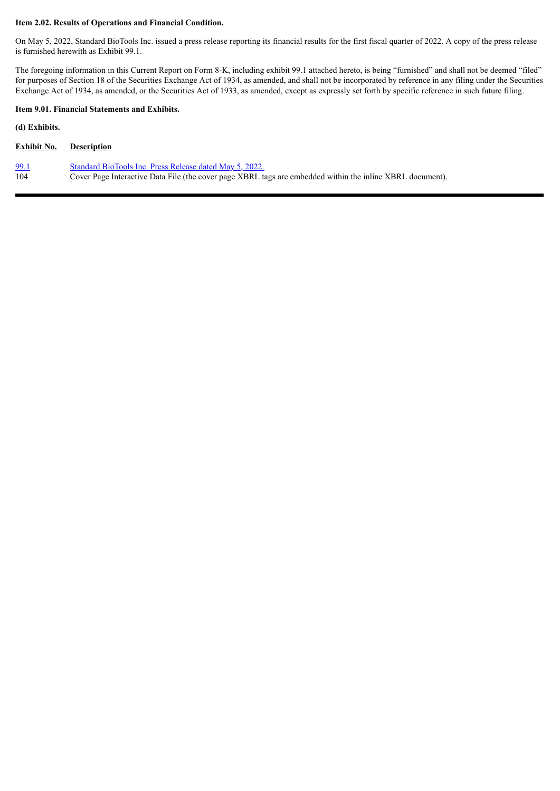#### **Item 2.02. Results of Operations and Financial Condition.**

On May 5, 2022, Standard BioTools Inc. issued a press release reporting its financial results for the first fiscal quarter of 2022. A copy of the press release is furnished herewith as Exhibit 99.1.

The foregoing information in this Current Report on Form 8-K, including exhibit 99.1 attached hereto, is being "furnished" and shall not be deemed "filed" for purposes of Section 18 of the Securities Exchange Act of 1934, as amended, and shall not be incorporated by reference in any filing under the Securities Exchange Act of 1934, as amended, or the Securities Act of 1933, as amended, except as expressly set forth by specific reference in such future filing.

#### **Item 9.01. Financial Statements and Exhibits.**

**(d) Exhibits.**

| <b>Exhibit No.</b> | <b>Description</b>                                                                                        |
|--------------------|-----------------------------------------------------------------------------------------------------------|
| 99.1               | Standard BioTools Inc. Press Release dated May 5, 2022.                                                   |
| 104                | Cover Page Interactive Data File (the cover page XBRL tags are embedded within the inline XBRL document). |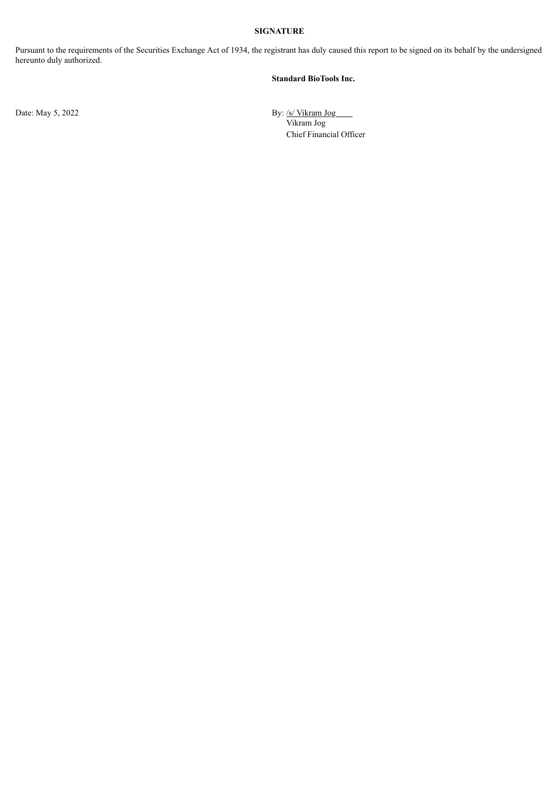#### **SIGNATURE**

Pursuant to the requirements of the Securities Exchange Act of 1934, the registrant has duly caused this report to be signed on its behalf by the undersigned hereunto duly authorized.

#### **Standard BioTools Inc.**

Date: May 5, 2022 By: /s/ Vikram Jog Vikram Jog Chief Financial Officer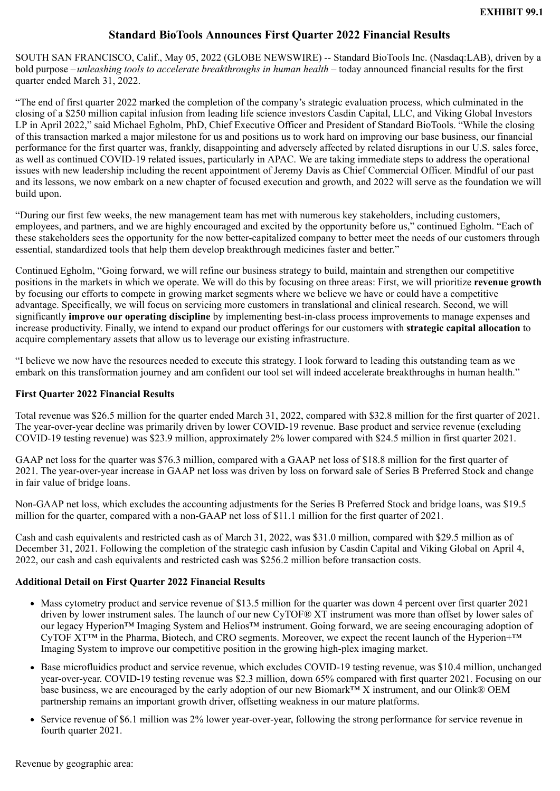# **Standard BioTools Announces First Quarter 2022 Financial Results**

<span id="page-3-0"></span>SOUTH SAN FRANCISCO, Calif., May 05, 2022 (GLOBE NEWSWIRE) -- Standard BioTools Inc. (Nasdaq:LAB), driven by a bold purpose – *unleashing tools to accelerate breakthroughs in human health* – today announced financial results for the first quarter ended March 31, 2022.

"The end of first quarter 2022 marked the completion of the company's strategic evaluation process, which culminated in the closing of a \$250 million capital infusion from leading life science investors Casdin Capital, LLC, and Viking Global Investors LP in April 2022," said Michael Egholm, PhD, Chief Executive Officer and President of Standard BioTools. "While the closing of this transaction marked a major milestone for us and positions us to work hard on improving our base business, our financial performance for the first quarter was, frankly, disappointing and adversely affected by related disruptions in our U.S. sales force, as well as continued COVID-19 related issues, particularly in APAC. We are taking immediate steps to address the operational issues with new leadership including the recent appointment of Jeremy Davis as Chief Commercial Officer. Mindful of our past and its lessons, we now embark on a new chapter of focused execution and growth, and 2022 will serve as the foundation we will build upon.

"During our first few weeks, the new management team has met with numerous key stakeholders, including customers, employees, and partners, and we are highly encouraged and excited by the opportunity before us," continued Egholm. "Each of these stakeholders sees the opportunity for the now better-capitalized company to better meet the needs of our customers through essential, standardized tools that help them develop breakthrough medicines faster and better."

Continued Egholm, "Going forward, we will refine our business strategy to build, maintain and strengthen our competitive positions in the markets in which we operate. We will do this by focusing on three areas: First, we will prioritize **revenue growth** by focusing our efforts to compete in growing market segments where we believe we have or could have a competitive advantage. Specifically, we will focus on servicing more customers in translational and clinical research. Second, we will significantly **improve our operating discipline** by implementing best-in-class process improvements to manage expenses and increase productivity. Finally, we intend to expand our product offerings for our customers with **strategic capital allocation** to acquire complementary assets that allow us to leverage our existing infrastructure.

"I believe we now have the resources needed to execute this strategy. I look forward to leading this outstanding team as we embark on this transformation journey and am confident our tool set will indeed accelerate breakthroughs in human health."

### **First Quarter 2022 Financial Results**

Total revenue was \$26.5 million for the quarter ended March 31, 2022, compared with \$32.8 million for the first quarter of 2021. The year-over-year decline was primarily driven by lower COVID-19 revenue. Base product and service revenue (excluding COVID-19 testing revenue) was \$23.9 million, approximately 2% lower compared with \$24.5 million in first quarter 2021.

GAAP net loss for the quarter was \$76.3 million, compared with a GAAP net loss of \$18.8 million for the first quarter of 2021. The year-over-year increase in GAAP net loss was driven by loss on forward sale of Series B Preferred Stock and change in fair value of bridge loans.

Non-GAAP net loss, which excludes the accounting adjustments for the Series B Preferred Stock and bridge loans, was \$19.5 million for the quarter, compared with a non-GAAP net loss of \$11.1 million for the first quarter of 2021.

Cash and cash equivalents and restricted cash as of March 31, 2022, was \$31.0 million, compared with \$29.5 million as of December 31, 2021. Following the completion of the strategic cash infusion by Casdin Capital and Viking Global on April 4, 2022, our cash and cash equivalents and restricted cash was \$256.2 million before transaction costs.

### **Additional Detail on First Quarter 2022 Financial Results**

- Mass cytometry product and service revenue of \$13.5 million for the quarter was down 4 percent over first quarter 2021 driven by lower instrument sales. The launch of our new CyTOF® XT instrument was more than offset by lower sales of our legacy Hyperion™ Imaging System and Helios™ instrument. Going forward, we are seeing encouraging adoption of CyTOF XT™ in the Pharma, Biotech, and CRO segments. Moreover, we expect the recent launch of the Hyperion+™ Imaging System to improve our competitive position in the growing high-plex imaging market.
- Base microfluidics product and service revenue, which excludes COVID-19 testing revenue, was \$10.4 million, unchanged year-over-year. COVID-19 testing revenue was \$2.3 million, down 65% compared with first quarter 2021. Focusing on our base business, we are encouraged by the early adoption of our new Biomark™ X instrument, and our Olink® OEM partnership remains an important growth driver, offsetting weakness in our mature platforms.
- Service revenue of \$6.1 million was 2% lower year-over-year, following the strong performance for service revenue in fourth quarter 2021.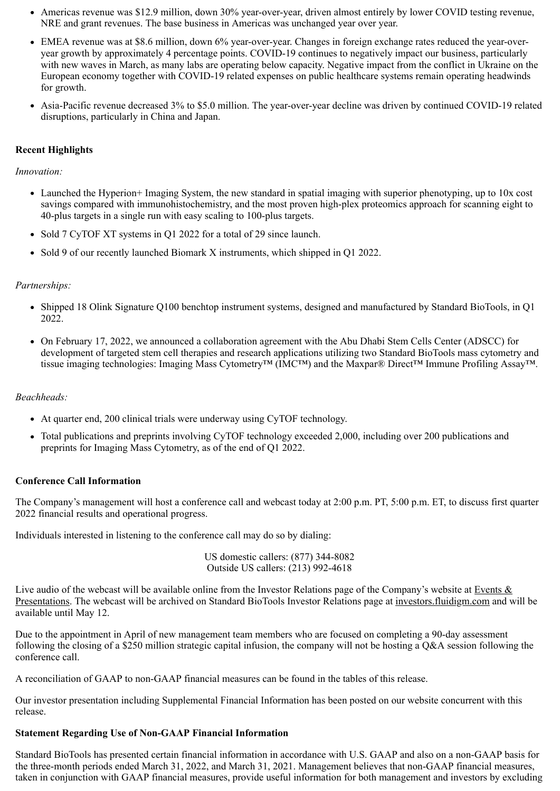- Americas revenue was \$12.9 million, down 30% year-over-year, driven almost entirely by lower COVID testing revenue, NRE and grant revenues. The base business in Americas was unchanged year over year.
- EMEA revenue was at \$8.6 million, down 6% year-over-year. Changes in foreign exchange rates reduced the year-overyear growth by approximately 4 percentage points. COVID-19 continues to negatively impact our business, particularly with new waves in March, as many labs are operating below capacity. Negative impact from the conflict in Ukraine on the European economy together with COVID-19 related expenses on public healthcare systems remain operating headwinds for growth.
- Asia-Pacific revenue decreased 3% to \$5.0 million. The year-over-year decline was driven by continued COVID-19 related disruptions, particularly in China and Japan.

### **Recent Highlights**

#### *Innovation:*

- Launched the Hyperion+ Imaging System, the new standard in spatial imaging with superior phenotyping, up to 10x cost savings compared with immunohistochemistry, and the most proven high-plex proteomics approach for scanning eight to 40-plus targets in a single run with easy scaling to 100-plus targets.
- Sold 7 CyTOF XT systems in Q1 2022 for a total of 29 since launch.
- Sold 9 of our recently launched Biomark X instruments, which shipped in O1 2022.

### *Partnerships:*

- Shipped 18 Olink Signature Q100 benchtop instrument systems, designed and manufactured by Standard BioTools, in Q1 2022.
- On February 17, 2022, we announced a collaboration agreement with the Abu Dhabi Stem Cells Center (ADSCC) for development of targeted stem cell therapies and research applications utilizing two Standard BioTools mass cytometry and tissue imaging technologies: Imaging Mass Cytometry™ (IMC™) and the Maxpar® Direct™ Immune Profiling Assay™.

### *Beachheads:*

- At quarter end, 200 clinical trials were underway using CyTOF technology.
- Total publications and preprints involving CyTOF technology exceeded 2,000, including over 200 publications and preprints for Imaging Mass Cytometry, as of the end of Q1 2022.

### **Conference Call Information**

The Company's management will host a conference call and webcast today at 2:00 p.m. PT, 5:00 p.m. ET, to discuss first quarter 2022 financial results and operational progress.

Individuals interested in listening to the conference call may do so by dialing:

US domestic callers: (877) 344-8082 Outside US callers: (213) 992-4618

Live audio of the webcast will be available online from the Investor Relations page of the Company's website at Events  $\&$ Presentations. The webcast will be archived on Standard BioTools Investor Relations page at investors.fluidigm.com and will be available until May 12.

Due to the appointment in April of new management team members who are focused on completing a 90-day assessment following the closing of a \$250 million strategic capital infusion, the company will not be hosting a Q&A session following the conference call.

A reconciliation of GAAP to non-GAAP financial measures can be found in the tables of this release.

Our investor presentation including Supplemental Financial Information has been posted on our website concurrent with this release.

### **Statement Regarding Use of Non-GAAP Financial Information**

Standard BioTools has presented certain financial information in accordance with U.S. GAAP and also on a non-GAAP basis for the three-month periods ended March 31, 2022, and March 31, 2021. Management believes that non-GAAP financial measures, taken in conjunction with GAAP financial measures, provide useful information for both management and investors by excluding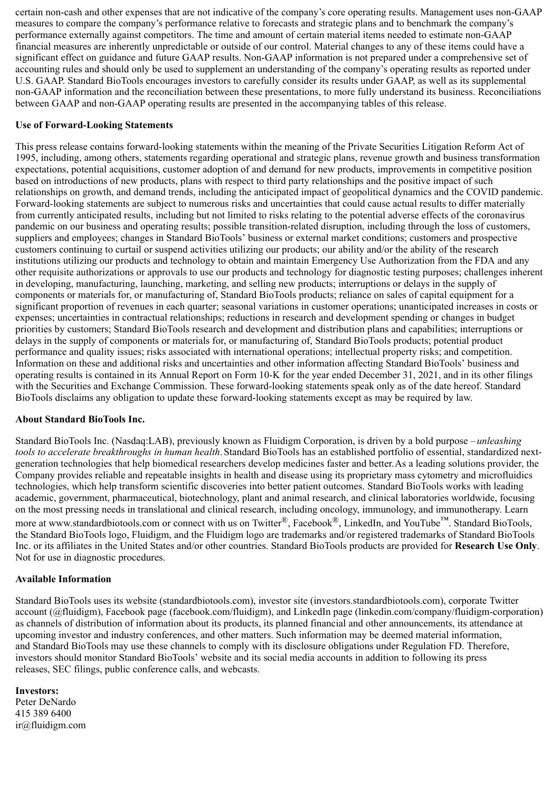certain non-cash and other expenses that are not indicative of the company's core operating results. Management uses non-GAAP measures to compare the company's performance relative to forecasts and strategic plans and to benchmark the company's performance externally against competitors. The time and amount of certain material items needed to estimate non-GAAP financial measures are inherently unpredictable or outside of our control. Material changes to any of these items could have a significant effect on guidance and future GAAP results. Non-GAAP information is not prepared under a comprehensive set of accounting rules and should only be used to supplement an understanding of the company's operating results as reported under U.S. GAAP. Standard BioTools encourages investors to carefully consider its results under GAAP, as well as its supplemental non-GAAP information and the reconciliation between these presentations, to more fully understand its business. Reconciliations between GAAP and non-GAAP operating results are presented in the accompanying tables of this release.

### **Use of Forward-Looking Statements**

This press release contains forward-looking statements within the meaning of the Private Securities Litigation Reform Act of 1995, including, among others, statements regarding operational and strategic plans, revenue growth and business transformation expectations, potential acquisitions, customer adoption of and demand for new products, improvements in competitive position based on introductions of new products, plans with respect to third party relationships and the positive impact of such relationships on growth, and demand trends, including the anticipated impact of geopolitical dynamics and the COVID pandemic. Forward-looking statements are subject to numerous risks and uncertainties that could cause actual results to differ materially from currently anticipated results, including but not limited to risks relating to the potential adverse effects of the coronavirus pandemic on our business and operating results; possible transition-related disruption, including through the loss of customers, suppliers and employees; changes in Standard BioTools' business or external market conditions; customers and prospective customers continuing to curtail or suspend activities utilizing our products; our ability and/or the ability of the research institutions utilizing our products and technology to obtain and maintain Emergency Use Authorization from the FDA and any other requisite authorizations or approvals to use our products and technology for diagnostic testing purposes; challenges inherent in developing, manufacturing, launching, marketing, and selling new products; interruptions or delays in the supply of components or materials for, or manufacturing of, Standard BioTools products; reliance on sales of capital equipment for a significant proportion of revenues in each quarter; seasonal variations in customer operations; unanticipated increases in costs or expenses; uncertainties in contractual relationships; reductions in research and development spending or changes in budget priorities by customers; Standard BioTools research and development and distribution plans and capabilities; interruptions or delays in the supply of components or materials for, or manufacturing of, Standard BioTools products; potential product performance and quality issues; risks associated with international operations; intellectual property risks; and competition. Information on these and additional risks and uncertainties and other information affecting Standard BioTools' business and operating results is contained in its Annual Report on Form 10-K for the year ended December 31, 2021, and in its other filings with the Securities and Exchange Commission. These forward-looking statements speak only as of the date hereof. Standard BioTools disclaims any obligation to update these forward-looking statements except as may be required by law.

### **About Standard BioTools Inc.**

Standard BioTools Inc. (Nasdaq:LAB), previously known as Fluidigm Corporation, is driven by a bold purpose – *unleashing tools to accelerate breakthroughs in human health*.Standard BioTools has an established portfolio of essential, standardized nextgeneration technologies that help biomedical researchers develop medicines faster and better.As a leading solutions provider, the Company provides reliable and repeatable insights in health and disease using its proprietary mass cytometry and microfluidics technologies, which help transform scientific discoveries into better patient outcomes. Standard BioTools works with leading academic, government, pharmaceutical, biotechnology, plant and animal research, and clinical laboratories worldwide, focusing on the most pressing needs in translational and clinical research, including oncology, immunology, and immunotherapy. Learn more at www.standardbiotools.com or connect with us on Twitter<sup>®</sup>, Facebook<sup>®</sup>, LinkedIn, and YouTube™. Standard BioTools, the Standard BioTools logo, Fluidigm, and the Fluidigm logo are trademarks and/or registered trademarks of Standard BioTools Inc. or its affiliates in the United States and/or other countries. Standard BioTools products are provided for **Research Use Only**. Not for use in diagnostic procedures.

### **Available Information**

Standard BioTools uses its website (standardbiotools.com), investor site (investors.standardbiotools.com), corporate Twitter account (@fluidigm), Facebook page (facebook.com/fluidigm), and LinkedIn page (linkedin.com/company/fluidigm-corporation) as channels of distribution of information about its products, its planned financial and other announcements, its attendance at upcoming investor and industry conferences, and other matters. Such information may be deemed material information, and Standard BioTools may use these channels to comply with its disclosure obligations under Regulation FD. Therefore, investors should monitor Standard BioTools' website and its social media accounts in addition to following its press releases, SEC filings, public conference calls, and webcasts.

### **Investors:**

Peter DeNardo 415 389 6400 ir@fluidigm.com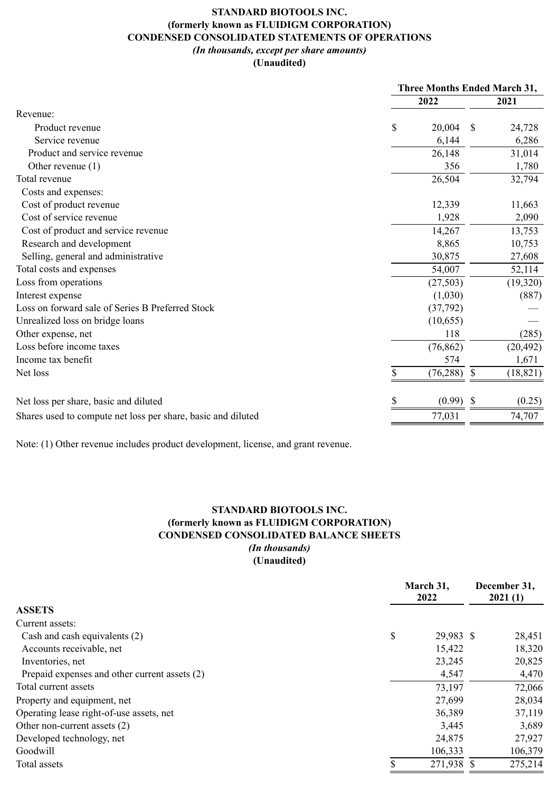# **STANDARD BIOTOOLS INC. (formerly known as FLUIDIGM CORPORATION) CONDENSED CONSOLIDATED STATEMENTS OF OPERATIONS** *(In thousands, except per share amounts)*

### **(Unaudited)**

|                                                              | <b>Three Months Ended March 31,</b> |           |    |           |
|--------------------------------------------------------------|-------------------------------------|-----------|----|-----------|
|                                                              |                                     | 2022      |    | 2021      |
| Revenue:                                                     |                                     |           |    |           |
| Product revenue                                              | \$                                  | 20,004    | S  | 24,728    |
| Service revenue                                              |                                     | 6,144     |    | 6,286     |
| Product and service revenue                                  |                                     | 26,148    |    | 31,014    |
| Other revenue $(1)$                                          |                                     | 356       |    | 1,780     |
| Total revenue                                                |                                     | 26,504    |    | 32,794    |
| Costs and expenses:                                          |                                     |           |    |           |
| Cost of product revenue                                      |                                     | 12,339    |    | 11,663    |
| Cost of service revenue                                      |                                     | 1,928     |    | 2,090     |
| Cost of product and service revenue                          |                                     | 14,267    |    | 13,753    |
| Research and development                                     |                                     | 8,865     |    | 10,753    |
| Selling, general and administrative                          |                                     | 30,875    |    | 27,608    |
| Total costs and expenses                                     |                                     | 54,007    |    | 52,114    |
| Loss from operations                                         |                                     | (27, 503) |    | (19,320)  |
| Interest expense                                             |                                     | (1,030)   |    | (887)     |
| Loss on forward sale of Series B Preferred Stock             |                                     | (37,792)  |    |           |
| Unrealized loss on bridge loans                              |                                     | (10, 655) |    |           |
| Other expense, net                                           |                                     | 118       |    | (285)     |
| Loss before income taxes                                     |                                     | (76, 862) |    | (20, 492) |
| Income tax benefit                                           |                                     | 574       |    | 1,671     |
| Net loss                                                     | \$                                  | (76, 288) | \$ | (18, 821) |
| Net loss per share, basic and diluted                        |                                     | (0.99)    | S  | (0.25)    |
| Shares used to compute net loss per share, basic and diluted |                                     | 77,031    |    | 74,707    |

Note: (1) Other revenue includes product development, license, and grant revenue.

### **STANDARD BIOTOOLS INC. (formerly known as FLUIDIGM CORPORATION) CONDENSED CONSOLIDATED BALANCE SHEETS** *(In thousands)* **(Unaudited)**

|                                               | March 31,<br>2022 |  | December 31,<br>2021(1) |  |
|-----------------------------------------------|-------------------|--|-------------------------|--|
| <b>ASSETS</b>                                 |                   |  |                         |  |
| Current assets:                               |                   |  |                         |  |
| Cash and cash equivalents (2)                 | \$<br>29,983 \$   |  | 28,451                  |  |
| Accounts receivable, net                      | 15,422            |  | 18,320                  |  |
| Inventories, net                              | 23,245            |  | 20,825                  |  |
| Prepaid expenses and other current assets (2) | 4,547             |  | 4,470                   |  |
| Total current assets                          | 73,197            |  | 72,066                  |  |
| Property and equipment, net                   | 27,699            |  | 28,034                  |  |
| Operating lease right-of-use assets, net      | 36,389            |  | 37,119                  |  |
| Other non-current assets (2)                  | 3,445             |  | 3,689                   |  |
| Developed technology, net                     | 24,875            |  | 27,927                  |  |
| Goodwill                                      | 106,333           |  | 106,379                 |  |
| Total assets                                  | 271,938 \$        |  | 275,214                 |  |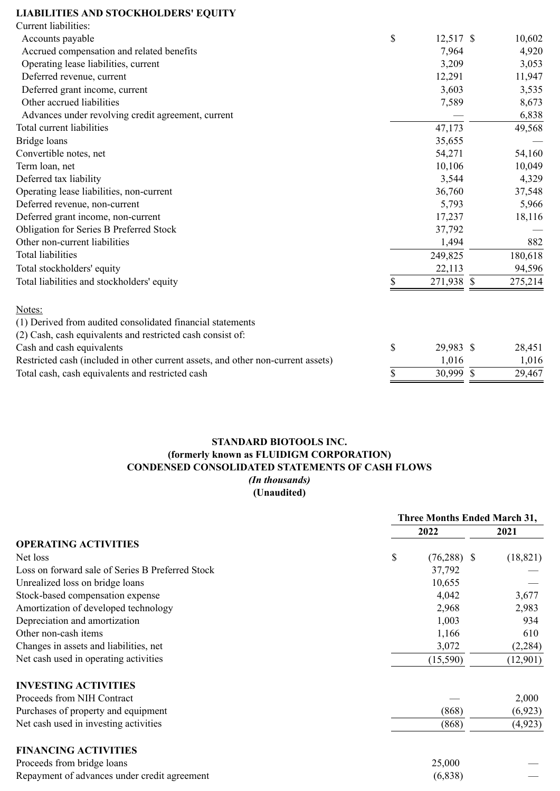# **LIABILITIES AND STOCKHOLDERS' EQUITY**

| Current liabilities:                                                             |    |            |               |         |
|----------------------------------------------------------------------------------|----|------------|---------------|---------|
| Accounts payable                                                                 | \$ | 12,517 \$  |               | 10,602  |
| Accrued compensation and related benefits                                        |    | 7,964      |               | 4,920   |
| Operating lease liabilities, current                                             |    | 3,209      |               | 3,053   |
| Deferred revenue, current                                                        |    | 12,291     |               | 11,947  |
| Deferred grant income, current                                                   |    | 3,603      |               | 3,535   |
| Other accrued liabilities                                                        |    | 7,589      |               | 8,673   |
| Advances under revolving credit agreement, current                               |    |            |               | 6,838   |
| Total current liabilities                                                        |    | 47,173     |               | 49,568  |
| Bridge loans                                                                     |    | 35,655     |               |         |
| Convertible notes, net                                                           |    | 54,271     |               | 54,160  |
| Term loan, net                                                                   |    | 10,106     |               | 10,049  |
| Deferred tax liability                                                           |    | 3,544      |               | 4,329   |
| Operating lease liabilities, non-current                                         |    | 36,760     |               | 37,548  |
| Deferred revenue, non-current                                                    |    | 5,793      |               | 5,966   |
| Deferred grant income, non-current                                               |    | 17,237     |               | 18,116  |
| Obligation for Series B Preferred Stock                                          |    | 37,792     |               |         |
| Other non-current liabilities                                                    |    | 1,494      |               | 882     |
| <b>Total liabilities</b>                                                         |    | 249,825    |               | 180,618 |
| Total stockholders' equity                                                       |    | 22,113     |               | 94,596  |
| Total liabilities and stockholders' equity                                       | S  | 271,938 \$ |               | 275,214 |
| Notes:                                                                           |    |            |               |         |
| (1) Derived from audited consolidated financial statements                       |    |            |               |         |
| (2) Cash, cash equivalents and restricted cash consist of:                       |    |            |               |         |
| Cash and cash equivalents                                                        | \$ | 29,983 \$  |               | 28,451  |
| Restricted cash (included in other current assets, and other non-current assets) |    | 1,016      |               | 1,016   |
| Total cash, cash equivalents and restricted cash                                 | \$ | 30,999     | $\mathcal{S}$ | 29,467  |

## **STANDARD BIOTOOLS INC. (formerly known as FLUIDIGM CORPORATION) CONDENSED CONSOLIDATED STATEMENTS OF CASH FLOWS** *(In thousands)* **(Unaudited)**

|                                                  | <b>Three Months Ended March 31,</b> |           |  |  |
|--------------------------------------------------|-------------------------------------|-----------|--|--|
|                                                  | 2022                                | 2021      |  |  |
| <b>OPERATING ACTIVITIES</b>                      |                                     |           |  |  |
| Net loss                                         | \$<br>$(76,288)$ \$                 | (18, 821) |  |  |
| Loss on forward sale of Series B Preferred Stock | 37,792                              |           |  |  |
| Unrealized loss on bridge loans                  | 10,655                              |           |  |  |
| Stock-based compensation expense                 | 4,042                               | 3,677     |  |  |
| Amortization of developed technology             | 2,968                               | 2,983     |  |  |
| Depreciation and amortization                    | 1,003                               | 934       |  |  |
| Other non-cash items                             | 1,166                               | 610       |  |  |
| Changes in assets and liabilities, net           | 3,072                               | (2, 284)  |  |  |
| Net cash used in operating activities            | (15,590)                            | (12,901)  |  |  |
| <b>INVESTING ACTIVITIES</b>                      |                                     |           |  |  |
| Proceeds from NIH Contract                       |                                     | 2,000     |  |  |
| Purchases of property and equipment              | (868)                               | (6, 923)  |  |  |
| Net cash used in investing activities            | (868)                               | (4, 923)  |  |  |
| <b>FINANCING ACTIVITIES</b>                      |                                     |           |  |  |
| Proceeds from bridge loans                       | 25,000                              |           |  |  |
| Repayment of advances under credit agreement     | (6, 838)                            |           |  |  |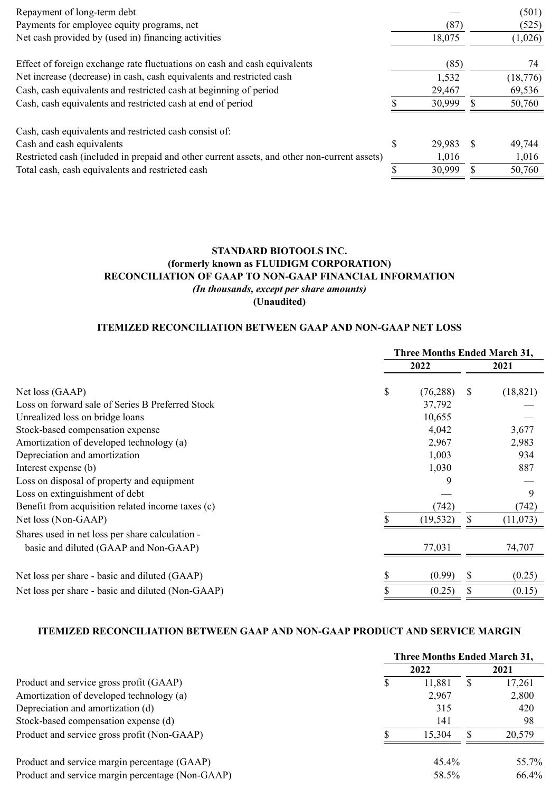| Repayment of long-term debt                                                                  |              | (501)     |
|----------------------------------------------------------------------------------------------|--------------|-----------|
| Payments for employee equity programs, net                                                   | (87)         | (525)     |
| Net cash provided by (used in) financing activities                                          | 18,075       | (1,026)   |
| Effect of foreign exchange rate fluctuations on cash and cash equivalents                    | (85)         | 74        |
| Net increase (decrease) in cash, cash equivalents and restricted cash                        | 1,532        | (18, 776) |
| Cash, cash equivalents and restricted cash at beginning of period                            | 29,467       | 69,536    |
| Cash, cash equivalents and restricted cash at end of period                                  | 30,999       | 50,760    |
| Cash, cash equivalents and restricted cash consist of:                                       |              |           |
| Cash and cash equivalents                                                                    | \$<br>29,983 | 49,744    |
| Restricted cash (included in prepaid and other current assets, and other non-current assets) | 1,016        | 1,016     |
| Total cash, cash equivalents and restricted cash                                             | 30,999       | 50,760    |
|                                                                                              |              |           |

## **STANDARD BIOTOOLS INC. (formerly known as FLUIDIGM CORPORATION) RECONCILIATION OF GAAP TO NON-GAAP FINANCIAL INFORMATION** *(In thousands, except per share amounts)* **(Unaudited)**

# **ITEMIZED RECONCILIATION BETWEEN GAAP AND NON-GAAP NET LOSS**

|                                                   | <b>Three Months Ended March 31,</b> |           |               |           |
|---------------------------------------------------|-------------------------------------|-----------|---------------|-----------|
|                                                   |                                     | 2022      |               | 2021      |
| Net loss (GAAP)                                   | \$                                  | (76, 288) | <sup>\$</sup> | (18, 821) |
| Loss on forward sale of Series B Preferred Stock  |                                     | 37,792    |               |           |
| Unrealized loss on bridge loans                   |                                     | 10,655    |               |           |
| Stock-based compensation expense                  |                                     | 4,042     |               | 3,677     |
| Amortization of developed technology (a)          |                                     | 2,967     |               | 2,983     |
| Depreciation and amortization                     |                                     | 1,003     |               | 934       |
| Interest expense (b)                              |                                     | 1,030     |               | 887       |
| Loss on disposal of property and equipment        |                                     | 9         |               |           |
| Loss on extinguishment of debt                    |                                     |           |               | 9         |
| Benefit from acquisition related income taxes (c) |                                     | (742)     |               | (742)     |
| Net loss (Non-GAAP)                               |                                     | (19, 532) | \$            | (11,073)  |
| Shares used in net loss per share calculation -   |                                     |           |               |           |
| basic and diluted (GAAP and Non-GAAP)             |                                     | 77,031    |               | 74,707    |
|                                                   |                                     |           |               |           |
| Net loss per share - basic and diluted (GAAP)     |                                     | (0.99)    | \$            | (0.25)    |
| Net loss per share - basic and diluted (Non-GAAP) |                                     | (0.25)    | \$            | (0.15)    |

### **ITEMIZED RECONCILIATION BETWEEN GAAP AND NON-GAAP PRODUCT AND SERVICE MARGIN**

|                                                  | <b>Three Months Ended March 31,</b> |          |    |        |
|--------------------------------------------------|-------------------------------------|----------|----|--------|
|                                                  |                                     | 2022     |    | 2021   |
| Product and service gross profit (GAAP)          | S                                   | 11,881   | У, | 17,261 |
| Amortization of developed technology (a)         |                                     | 2,967    |    | 2,800  |
| Depreciation and amortization (d)                |                                     | 315      |    | 420    |
| Stock-based compensation expense (d)             |                                     | 141      |    | 98     |
| Product and service gross profit (Non-GAAP)      |                                     | 15,304   |    | 20,579 |
| Product and service margin percentage (GAAP)     |                                     | $45.4\%$ |    | 55.7%  |
| Product and service margin percentage (Non-GAAP) |                                     | 58.5%    |    | 66.4%  |